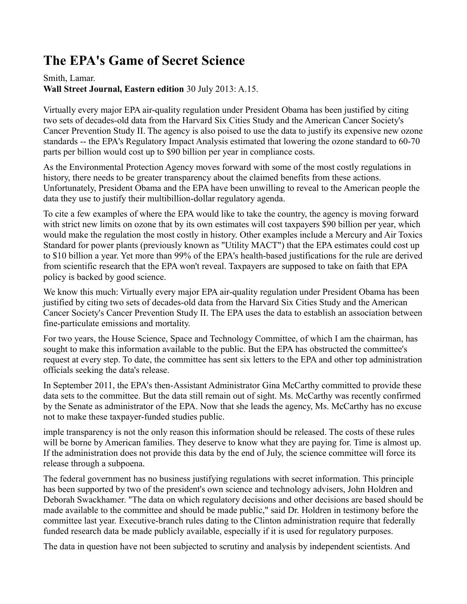## **The EPA's Game of Secret Science**

## Smith, Lamar. **Wall Street Journal, Eastern edition** 30 July 2013: A.15.

Virtually every major EPA air-quality regulation under President Obama has been justified by citing two sets of decades-old data from the Harvard Six Cities Study and the American Cancer Society's Cancer Prevention Study II. The agency is also poised to use the data to justify its expensive new ozone standards -- the EPA's Regulatory Impact Analysis estimated that lowering the ozone standard to 60-70 parts per billion would cost up to \$90 billion per year in compliance costs.

As the Environmental Protection Agency moves forward with some of the most costly regulations in history, there needs to be greater transparency about the claimed benefits from these actions. Unfortunately, President Obama and the EPA have been unwilling to reveal to the American people the data they use to justify their multibillion-dollar regulatory agenda.

To cite a few examples of where the EPA would like to take the country, the agency is moving forward with strict new limits on ozone that by its own estimates will cost taxpayers \$90 billion per year, which would make the regulation the most costly in history. Other examples include a Mercury and Air Toxics Standard for power plants (previously known as "Utility MACT") that the EPA estimates could cost up to \$10 billion a year. Yet more than 99% of the EPA's health-based justifications for the rule are derived from scientific research that the EPA won't reveal. Taxpayers are supposed to take on faith that EPA policy is backed by good science.

We know this much: Virtually every major EPA air-quality regulation under President Obama has been justified by citing two sets of decades-old data from the Harvard Six Cities Study and the American Cancer Society's Cancer Prevention Study II. The EPA uses the data to establish an association between fine-particulate emissions and mortality.

For two years, the House Science, Space and Technology Committee, of which I am the chairman, has sought to make this information available to the public. But the EPA has obstructed the committee's request at every step. To date, the committee has sent six letters to the EPA and other top administration officials seeking the data's release.

In September 2011, the EPA's then-Assistant Administrator Gina McCarthy committed to provide these data sets to the committee. But the data still remain out of sight. Ms. McCarthy was recently confirmed by the Senate as administrator of the EPA. Now that she leads the agency, Ms. McCarthy has no excuse not to make these taxpayer-funded studies public.

imple transparency is not the only reason this information should be released. The costs of these rules will be borne by American families. They deserve to know what they are paying for. Time is almost up. If the administration does not provide this data by the end of July, the science committee will force its release through a subpoena.

The federal government has no business justifying regulations with secret information. This principle has been supported by two of the president's own science and technology advisers, John Holdren and Deborah Swackhamer. "The data on which regulatory decisions and other decisions are based should be made available to the committee and should be made public," said Dr. Holdren in testimony before the committee last year. Executive-branch rules dating to the Clinton administration require that federally funded research data be made publicly available, especially if it is used for regulatory purposes.

The data in question have not been subjected to scrutiny and analysis by independent scientists. And